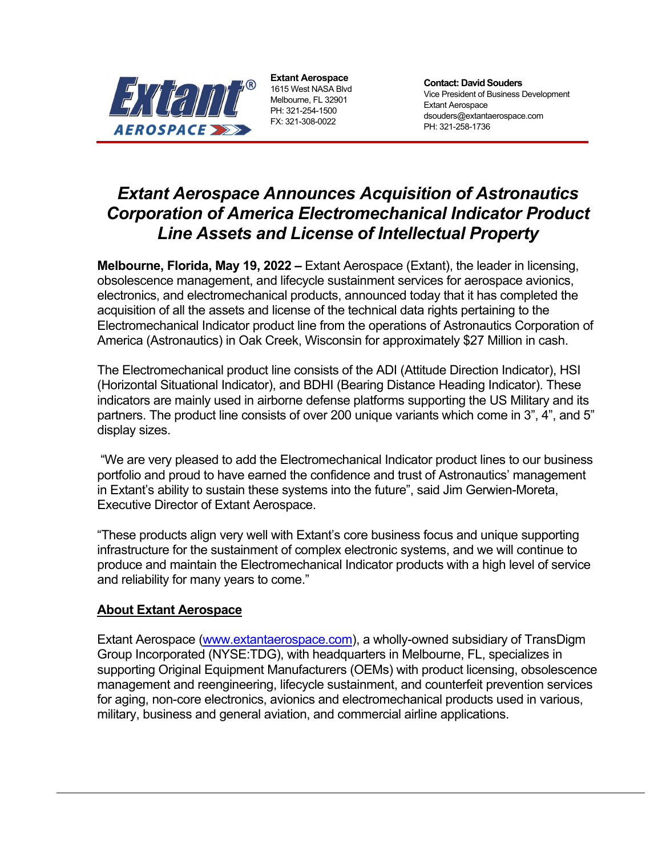

**Extant Aerospace**  1615 West NASA Blvd Melbourne, FL 32901 PH: 321-254-1500 FX: 321-308-0022

**Contact: David Souders**  Vice President of Business Development Extant Aerospace dsouders@extantaerospace.com PH: 321-258-1736

## *Extant Aerospace Announces Acquisition of Astronautics Corporation of America Electromechanical Indicator Product Line Assets and License of Intellectual Property*

**Melbourne, Florida, May 19, 2022 –** Extant Aerospace (Extant), the leader in licensing, obsolescence management, and lifecycle sustainment services for aerospace avionics, electronics, and electromechanical products, announced today that it has completed the acquisition of all the assets and license of the technical data rights pertaining to the Electromechanical Indicator product line from the operations of Astronautics Corporation of America (Astronautics) in Oak Creek, Wisconsin for approximately \$27 Million in cash.

The Electromechanical product line consists of the ADI (Attitude Direction Indicator), HSI (Horizontal Situational Indicator), and BDHI (Bearing Distance Heading Indicator). These indicators are mainly used in airborne defense platforms supporting the US Military and its partners. The product line consists of over 200 unique variants which come in 3", 4", and 5" display sizes.

 "We are very pleased to add the Electromechanical Indicator product lines to our business portfolio and proud to have earned the confidence and trust of Astronautics' management in Extant's ability to sustain these systems into the future", said Jim Gerwien-Moreta, Executive Director of Extant Aerospace.

"These products align very well with Extant's core business focus and unique supporting infrastructure for the sustainment of complex electronic systems, and we will continue to produce and maintain the Electromechanical Indicator products with a high level of service and reliability for many years to come."

## **About Extant Aerospace**

Extant Aerospace (www.extantaerospace.com), a wholly-owned subsidiary of TransDigm Group Incorporated (NYSE:TDG), with headquarters in Melbourne, FL, specializes in supporting Original Equipment Manufacturers (OEMs) with product licensing, obsolescence management and reengineering, lifecycle sustainment, and counterfeit prevention services for aging, non-core electronics, avionics and electromechanical products used in various, military, business and general aviation, and commercial airline applications.